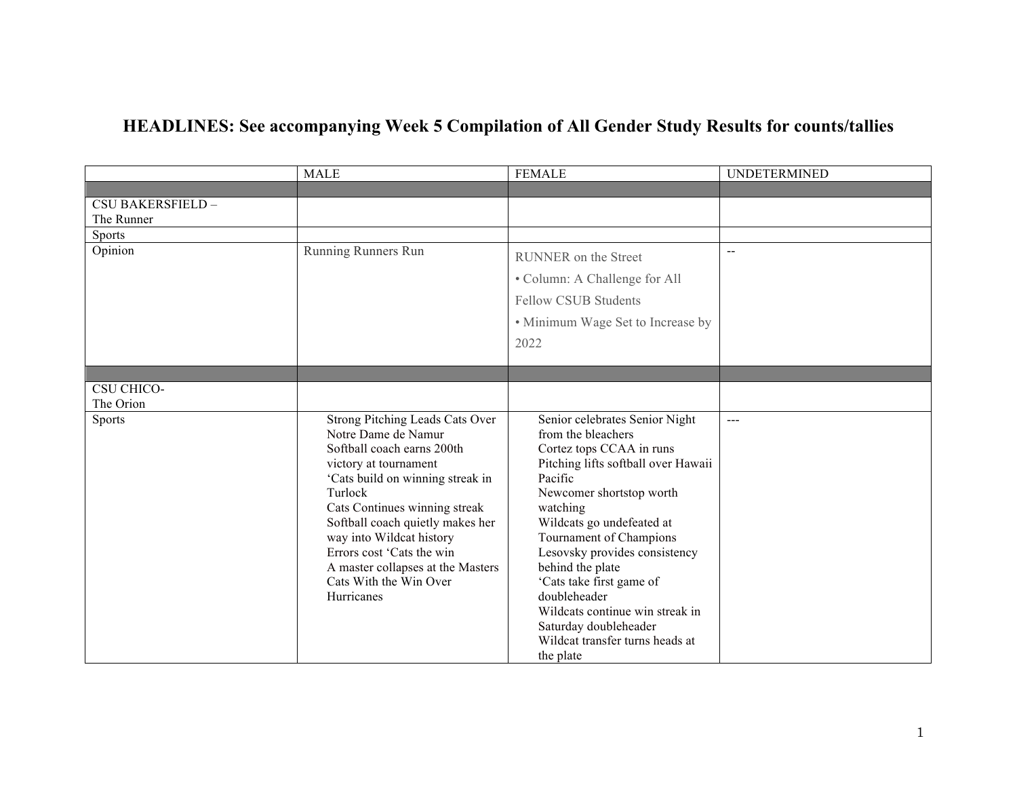## **HEADLINES: See accompanying Week 5 Compilation of All Gender Study Results for counts/tallies**

|                                 | <b>MALE</b>                                                                                                                                                                                                                                                                                                                                                             | <b>FEMALE</b>                                                                                                                                                                                                                                                                                                                                                                                                                                   | <b>UNDETERMINED</b> |
|---------------------------------|-------------------------------------------------------------------------------------------------------------------------------------------------------------------------------------------------------------------------------------------------------------------------------------------------------------------------------------------------------------------------|-------------------------------------------------------------------------------------------------------------------------------------------------------------------------------------------------------------------------------------------------------------------------------------------------------------------------------------------------------------------------------------------------------------------------------------------------|---------------------|
|                                 |                                                                                                                                                                                                                                                                                                                                                                         |                                                                                                                                                                                                                                                                                                                                                                                                                                                 |                     |
| CSU BAKERSFIELD -<br>The Runner |                                                                                                                                                                                                                                                                                                                                                                         |                                                                                                                                                                                                                                                                                                                                                                                                                                                 |                     |
| Sports                          |                                                                                                                                                                                                                                                                                                                                                                         |                                                                                                                                                                                                                                                                                                                                                                                                                                                 |                     |
| Opinion                         | Running Runners Run                                                                                                                                                                                                                                                                                                                                                     | RUNNER on the Street<br>• Column: A Challenge for All<br><b>Fellow CSUB Students</b><br>• Minimum Wage Set to Increase by<br>2022                                                                                                                                                                                                                                                                                                               | $\overline{a}$      |
|                                 |                                                                                                                                                                                                                                                                                                                                                                         |                                                                                                                                                                                                                                                                                                                                                                                                                                                 |                     |
| <b>CSU CHICO-</b><br>The Orion  |                                                                                                                                                                                                                                                                                                                                                                         |                                                                                                                                                                                                                                                                                                                                                                                                                                                 |                     |
| <b>Sports</b>                   | Strong Pitching Leads Cats Over<br>Notre Dame de Namur<br>Softball coach earns 200th<br>victory at tournament<br>'Cats build on winning streak in<br>Turlock<br>Cats Continues winning streak<br>Softball coach quietly makes her<br>way into Wildcat history<br>Errors cost 'Cats the win<br>A master collapses at the Masters<br>Cats With the Win Over<br>Hurricanes | Senior celebrates Senior Night<br>from the bleachers<br>Cortez tops CCAA in runs<br>Pitching lifts softball over Hawaii<br>Pacific<br>Newcomer shortstop worth<br>watching<br>Wildcats go undefeated at<br>Tournament of Champions<br>Lesovsky provides consistency<br>behind the plate<br>'Cats take first game of<br>doubleheader<br>Wildcats continue win streak in<br>Saturday doubleheader<br>Wildcat transfer turns heads at<br>the plate | $\frac{1}{2}$       |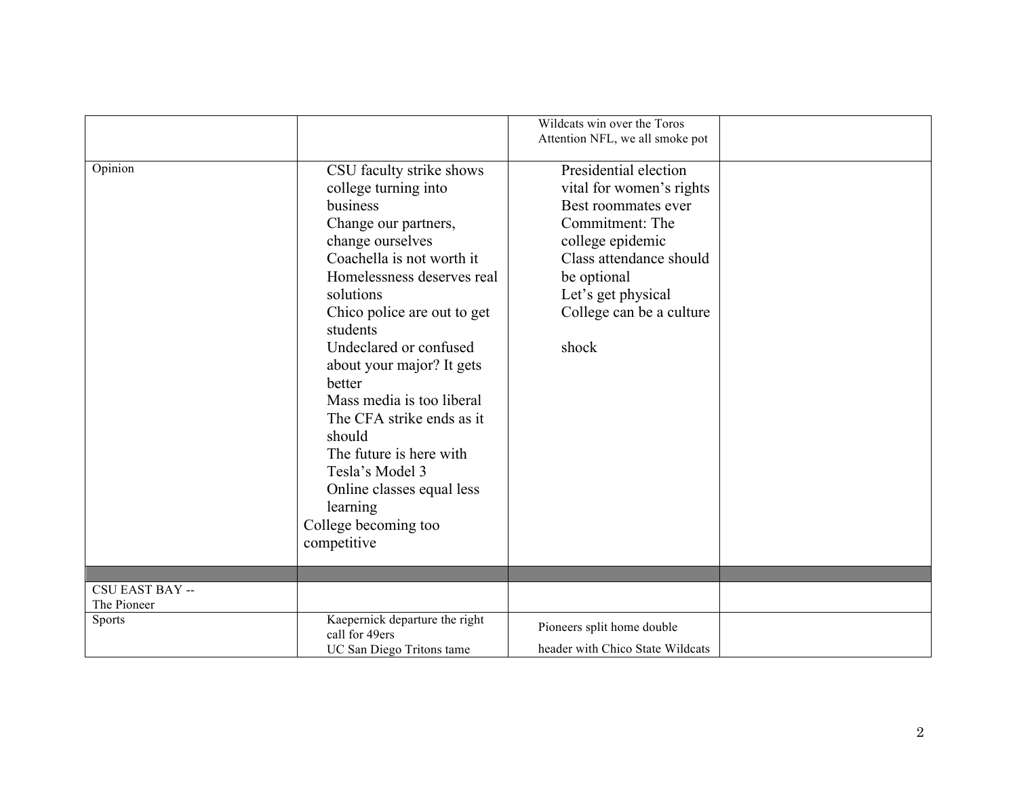|                        |                                                                                                                                                                                                                                                                                                                                                                                                                                                                                                | Wildcats win over the Toros<br>Attention NFL, we all smoke pot                                                                                                                                                       |  |
|------------------------|------------------------------------------------------------------------------------------------------------------------------------------------------------------------------------------------------------------------------------------------------------------------------------------------------------------------------------------------------------------------------------------------------------------------------------------------------------------------------------------------|----------------------------------------------------------------------------------------------------------------------------------------------------------------------------------------------------------------------|--|
| Opinion                | CSU faculty strike shows<br>college turning into<br>business<br>Change our partners,<br>change ourselves<br>Coachella is not worth it<br>Homelessness deserves real<br>solutions<br>Chico police are out to get<br>students<br>Undeclared or confused<br>about your major? It gets<br>better<br>Mass media is too liberal<br>The CFA strike ends as it<br>should<br>The future is here with<br>Tesla's Model 3<br>Online classes equal less<br>learning<br>College becoming too<br>competitive | Presidential election<br>vital for women's rights<br>Best roommates ever<br>Commitment: The<br>college epidemic<br>Class attendance should<br>be optional<br>Let's get physical<br>College can be a culture<br>shock |  |
| <b>CSU EAST BAY --</b> |                                                                                                                                                                                                                                                                                                                                                                                                                                                                                                |                                                                                                                                                                                                                      |  |
| The Pioneer            |                                                                                                                                                                                                                                                                                                                                                                                                                                                                                                |                                                                                                                                                                                                                      |  |
| <b>Sports</b>          | Kaepernick departure the right<br>call for 49ers<br>UC San Diego Tritons tame                                                                                                                                                                                                                                                                                                                                                                                                                  | Pioneers split home double<br>header with Chico State Wildcats                                                                                                                                                       |  |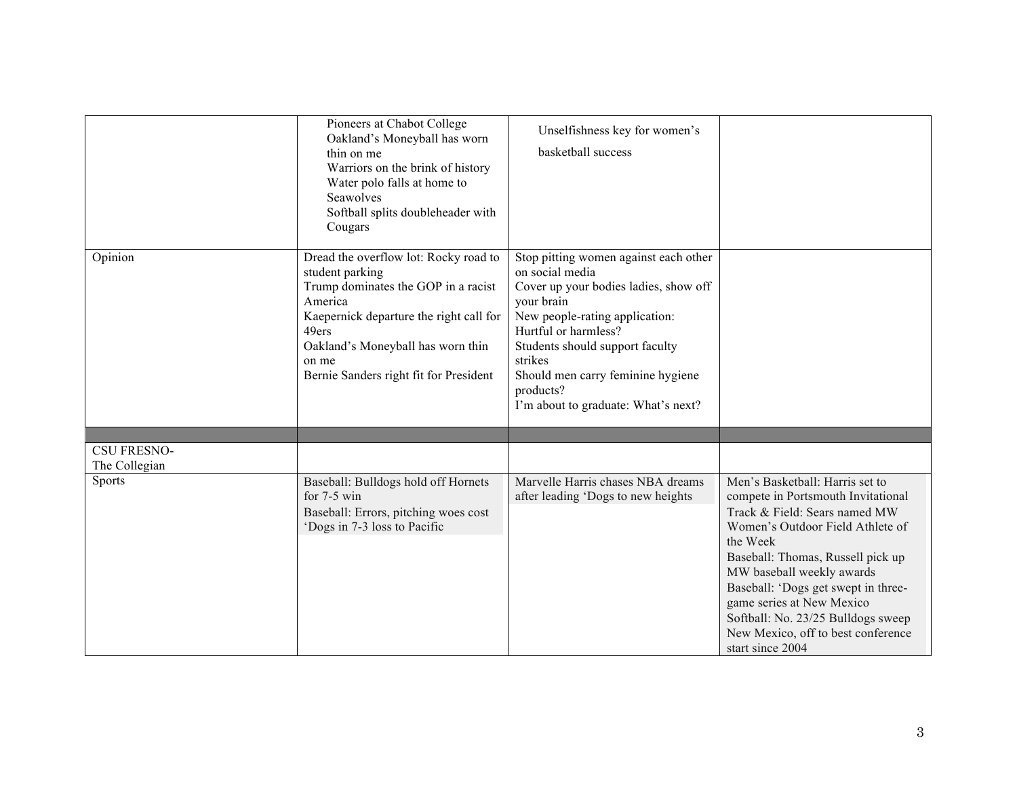|                                     | Pioneers at Chabot College<br>Oakland's Moneyball has worn<br>thin on me<br>Warriors on the brink of history<br>Water polo falls at home to<br>Seawolves<br>Softball splits doubleheader with<br>Cougars                                               | Unselfishness key for women's<br>basketball success                                                                                                                                                                                                                                                              |                                                                                                                                                                                                                                                                                                                                                                                              |
|-------------------------------------|--------------------------------------------------------------------------------------------------------------------------------------------------------------------------------------------------------------------------------------------------------|------------------------------------------------------------------------------------------------------------------------------------------------------------------------------------------------------------------------------------------------------------------------------------------------------------------|----------------------------------------------------------------------------------------------------------------------------------------------------------------------------------------------------------------------------------------------------------------------------------------------------------------------------------------------------------------------------------------------|
| Opinion                             | Dread the overflow lot: Rocky road to<br>student parking<br>Trump dominates the GOP in a racist<br>America<br>Kaepernick departure the right call for<br>49ers<br>Oakland's Moneyball has worn thin<br>on me<br>Bernie Sanders right fit for President | Stop pitting women against each other<br>on social media<br>Cover up your bodies ladies, show off<br>your brain<br>New people-rating application:<br>Hurtful or harmless?<br>Students should support faculty<br>strikes<br>Should men carry feminine hygiene<br>products?<br>I'm about to graduate: What's next? |                                                                                                                                                                                                                                                                                                                                                                                              |
|                                     |                                                                                                                                                                                                                                                        |                                                                                                                                                                                                                                                                                                                  |                                                                                                                                                                                                                                                                                                                                                                                              |
| <b>CSU FRESNO-</b><br>The Collegian |                                                                                                                                                                                                                                                        |                                                                                                                                                                                                                                                                                                                  |                                                                                                                                                                                                                                                                                                                                                                                              |
| <b>Sports</b>                       | Baseball: Bulldogs hold off Hornets<br>for $7-5$ win<br>Baseball: Errors, pitching woes cost<br>'Dogs in 7-3 loss to Pacific                                                                                                                           | Marvelle Harris chases NBA dreams<br>after leading 'Dogs to new heights                                                                                                                                                                                                                                          | Men's Basketball: Harris set to<br>compete in Portsmouth Invitational<br>Track & Field: Sears named MW<br>Women's Outdoor Field Athlete of<br>the Week<br>Baseball: Thomas, Russell pick up<br>MW baseball weekly awards<br>Baseball: 'Dogs get swept in three-<br>game series at New Mexico<br>Softball: No. 23/25 Bulldogs sweep<br>New Mexico, off to best conference<br>start since 2004 |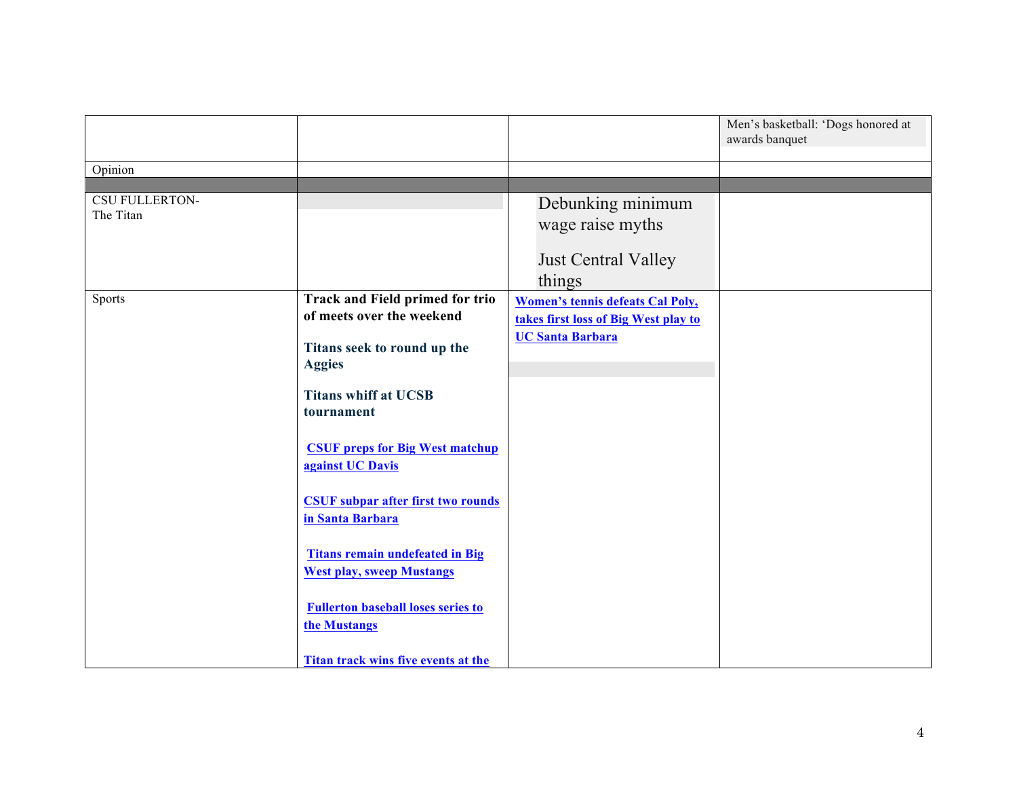|                                    |                                                                            |                                                                                                            | Men's basketball: 'Dogs honored at<br>awards banquet |
|------------------------------------|----------------------------------------------------------------------------|------------------------------------------------------------------------------------------------------------|------------------------------------------------------|
| Opinion                            |                                                                            |                                                                                                            |                                                      |
| <b>CSU FULLERTON-</b><br>The Titan |                                                                            | Debunking minimum<br>wage raise myths                                                                      |                                                      |
|                                    |                                                                            | <b>Just Central Valley</b><br>things                                                                       |                                                      |
| Sports                             | <b>Track and Field primed for trio</b><br>of meets over the weekend        | <b>Women's tennis defeats Cal Poly,</b><br>takes first loss of Big West play to<br><b>UC Santa Barbara</b> |                                                      |
|                                    | Titans seek to round up the<br><b>Aggies</b>                               |                                                                                                            |                                                      |
|                                    | <b>Titans whiff at UCSB</b><br>tournament                                  |                                                                                                            |                                                      |
|                                    | <b>CSUF preps for Big West matchup</b><br>against UC Davis                 |                                                                                                            |                                                      |
|                                    | <b>CSUF subpar after first two rounds</b><br>in Santa Barbara              |                                                                                                            |                                                      |
|                                    | <b>Titans remain undefeated in Big</b><br><b>West play, sweep Mustangs</b> |                                                                                                            |                                                      |
|                                    | <b>Fullerton baseball loses series to</b><br>the Mustangs                  |                                                                                                            |                                                      |
|                                    | Titan track wins five events at the                                        |                                                                                                            |                                                      |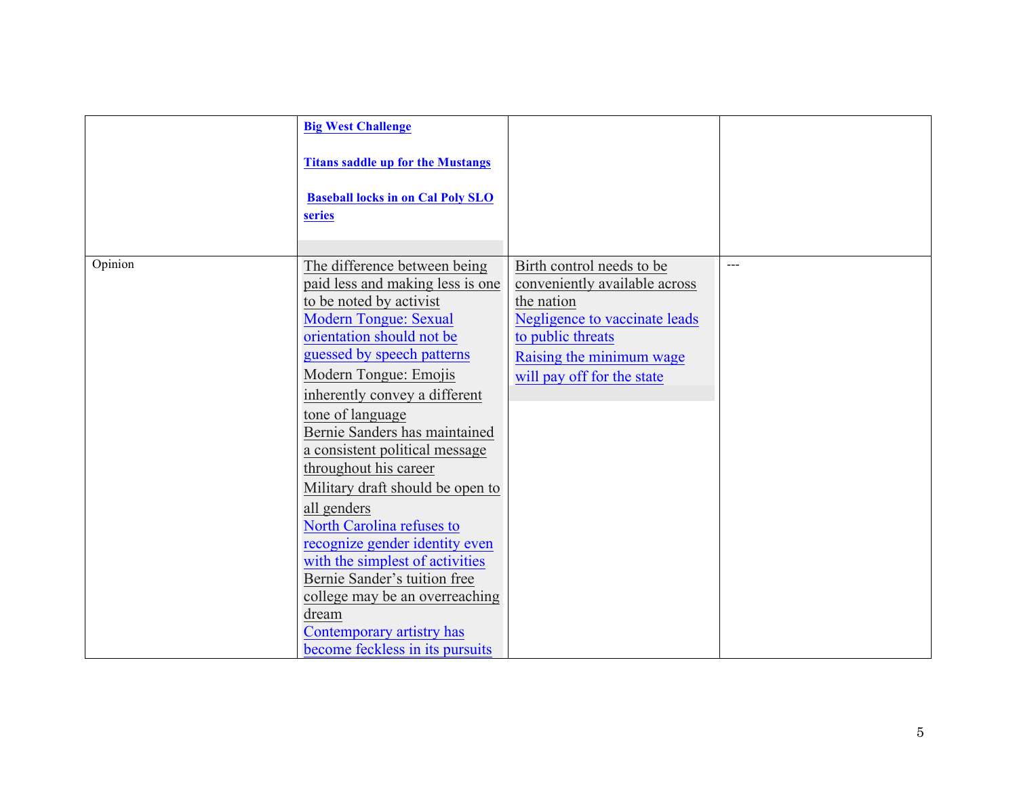|         | <b>Big West Challenge</b>                |                               |     |
|---------|------------------------------------------|-------------------------------|-----|
|         | <b>Titans saddle up for the Mustangs</b> |                               |     |
|         | <b>Baseball locks in on Cal Poly SLO</b> |                               |     |
|         | series                                   |                               |     |
|         |                                          |                               |     |
| Opinion | The difference between being             | Birth control needs to be     | --- |
|         | paid less and making less is one         | conveniently available across |     |
|         | to be noted by activist                  | the nation                    |     |
|         | Modern Tongue: Sexual                    | Negligence to vaccinate leads |     |
|         | orientation should not be                | to public threats             |     |
|         | guessed by speech patterns               | Raising the minimum wage      |     |
|         | Modern Tongue: Emojis                    | will pay off for the state    |     |
|         | inherently convey a different            |                               |     |
|         | tone of language                         |                               |     |
|         | Bernie Sanders has maintained            |                               |     |
|         | a consistent political message           |                               |     |
|         | throughout his career                    |                               |     |
|         | Military draft should be open to         |                               |     |
|         | all genders                              |                               |     |
|         | North Carolina refuses to                |                               |     |
|         | recognize gender identity even           |                               |     |
|         | with the simplest of activities          |                               |     |
|         | Bernie Sander's tuition free             |                               |     |
|         | college may be an overreaching           |                               |     |
|         | dream                                    |                               |     |
|         | Contemporary artistry has                |                               |     |
|         | become feckless in its pursuits          |                               |     |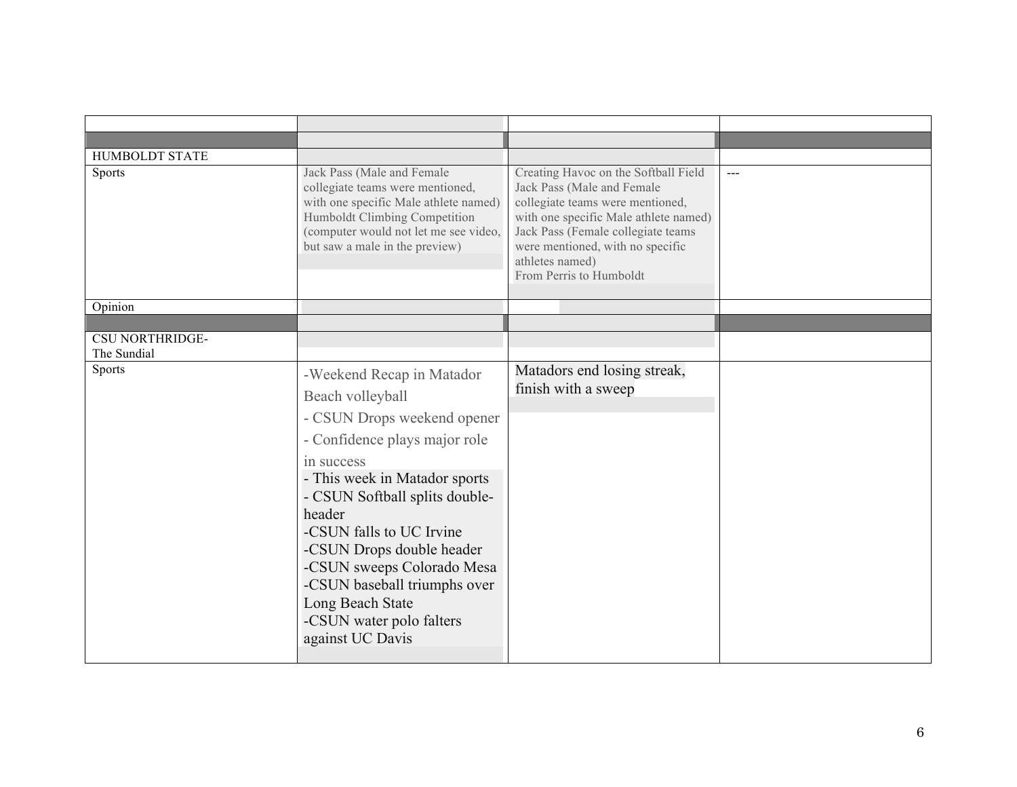| <b>HUMBOLDT STATE</b>  |                                                                                                                                                                                                                                                                                                                                                                                                     |                                                                                                                                                                                                                                                                         |               |
|------------------------|-----------------------------------------------------------------------------------------------------------------------------------------------------------------------------------------------------------------------------------------------------------------------------------------------------------------------------------------------------------------------------------------------------|-------------------------------------------------------------------------------------------------------------------------------------------------------------------------------------------------------------------------------------------------------------------------|---------------|
| <b>Sports</b>          | Jack Pass (Male and Female<br>collegiate teams were mentioned,<br>with one specific Male athlete named)<br>Humboldt Climbing Competition<br>(computer would not let me see video,<br>but saw a male in the preview)                                                                                                                                                                                 | Creating Havoc on the Softball Field<br>Jack Pass (Male and Female<br>collegiate teams were mentioned,<br>with one specific Male athlete named)<br>Jack Pass (Female collegiate teams<br>were mentioned, with no specific<br>athletes named)<br>From Perris to Humboldt | $\frac{1}{2}$ |
| Opinion                |                                                                                                                                                                                                                                                                                                                                                                                                     |                                                                                                                                                                                                                                                                         |               |
|                        |                                                                                                                                                                                                                                                                                                                                                                                                     |                                                                                                                                                                                                                                                                         |               |
| <b>CSU NORTHRIDGE-</b> |                                                                                                                                                                                                                                                                                                                                                                                                     |                                                                                                                                                                                                                                                                         |               |
| The Sundial            |                                                                                                                                                                                                                                                                                                                                                                                                     |                                                                                                                                                                                                                                                                         |               |
| Sports                 | -Weekend Recap in Matador<br>Beach volleyball<br>- CSUN Drops weekend opener<br>- Confidence plays major role<br>in success<br>- This week in Matador sports<br>- CSUN Softball splits double-<br>header<br>-CSUN falls to UC Irvine<br>-CSUN Drops double header<br>-CSUN sweeps Colorado Mesa<br>-CSUN baseball triumphs over<br>Long Beach State<br>-CSUN water polo falters<br>against UC Davis | Matadors end losing streak,<br>finish with a sweep                                                                                                                                                                                                                      |               |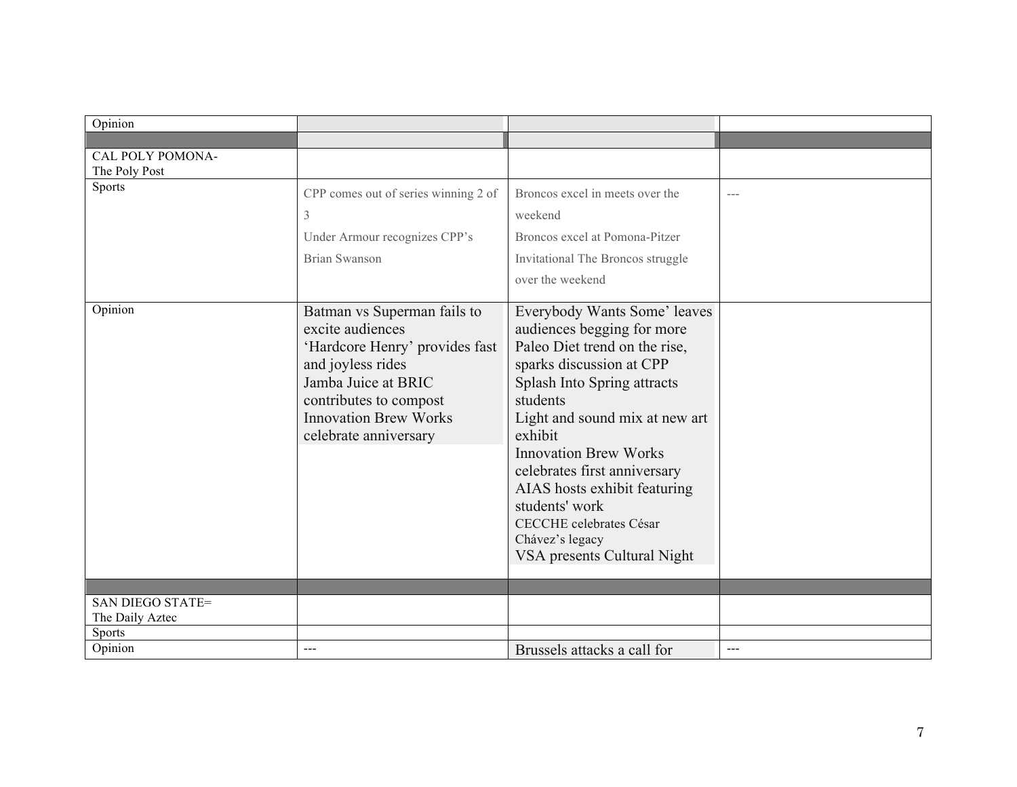| Opinion                           |                                                                                                                                                                                                                  |                                                                                                                                                                                                                                                                                                                                                                                                                       |                                                                                                                                                                                                                                                                                                                                                                                              |
|-----------------------------------|------------------------------------------------------------------------------------------------------------------------------------------------------------------------------------------------------------------|-----------------------------------------------------------------------------------------------------------------------------------------------------------------------------------------------------------------------------------------------------------------------------------------------------------------------------------------------------------------------------------------------------------------------|----------------------------------------------------------------------------------------------------------------------------------------------------------------------------------------------------------------------------------------------------------------------------------------------------------------------------------------------------------------------------------------------|
|                                   |                                                                                                                                                                                                                  |                                                                                                                                                                                                                                                                                                                                                                                                                       |                                                                                                                                                                                                                                                                                                                                                                                              |
| CAL POLY POMONA-<br>The Poly Post |                                                                                                                                                                                                                  |                                                                                                                                                                                                                                                                                                                                                                                                                       |                                                                                                                                                                                                                                                                                                                                                                                              |
| <b>Sports</b>                     | CPP comes out of series winning 2 of<br>3<br>Under Armour recognizes CPP's<br><b>Brian Swanson</b>                                                                                                               | Broncos excel in meets over the<br>weekend<br>Broncos excel at Pomona-Pitzer<br>Invitational The Broncos struggle<br>over the weekend                                                                                                                                                                                                                                                                                 | $---$                                                                                                                                                                                                                                                                                                                                                                                        |
| Opinion                           | Batman vs Superman fails to<br>excite audiences<br>'Hardcore Henry' provides fast<br>and joyless rides<br>Jamba Juice at BRIC<br>contributes to compost<br><b>Innovation Brew Works</b><br>celebrate anniversary | Everybody Wants Some' leaves<br>audiences begging for more<br>Paleo Diet trend on the rise,<br>sparks discussion at CPP<br>Splash Into Spring attracts<br>students<br>Light and sound mix at new art<br>exhibit<br><b>Innovation Brew Works</b><br>celebrates first anniversary<br>AIAS hosts exhibit featuring<br>students' work<br><b>CECCHE</b> celebrates César<br>Chávez's legacy<br>VSA presents Cultural Night |                                                                                                                                                                                                                                                                                                                                                                                              |
|                                   |                                                                                                                                                                                                                  |                                                                                                                                                                                                                                                                                                                                                                                                                       |                                                                                                                                                                                                                                                                                                                                                                                              |
| <b>SAN DIEGO STATE=</b>           |                                                                                                                                                                                                                  |                                                                                                                                                                                                                                                                                                                                                                                                                       |                                                                                                                                                                                                                                                                                                                                                                                              |
| The Daily Aztec<br><b>Sports</b>  |                                                                                                                                                                                                                  |                                                                                                                                                                                                                                                                                                                                                                                                                       |                                                                                                                                                                                                                                                                                                                                                                                              |
| Opinion                           | $\qquad \qquad \cdots$                                                                                                                                                                                           | Brussels attacks a call for                                                                                                                                                                                                                                                                                                                                                                                           | $\frac{1}{2} \frac{1}{2} \frac{1}{2} \frac{1}{2} \frac{1}{2} \frac{1}{2} \frac{1}{2} \frac{1}{2} \frac{1}{2} \frac{1}{2} \frac{1}{2} \frac{1}{2} \frac{1}{2} \frac{1}{2} \frac{1}{2} \frac{1}{2} \frac{1}{2} \frac{1}{2} \frac{1}{2} \frac{1}{2} \frac{1}{2} \frac{1}{2} \frac{1}{2} \frac{1}{2} \frac{1}{2} \frac{1}{2} \frac{1}{2} \frac{1}{2} \frac{1}{2} \frac{1}{2} \frac{1}{2} \frac{$ |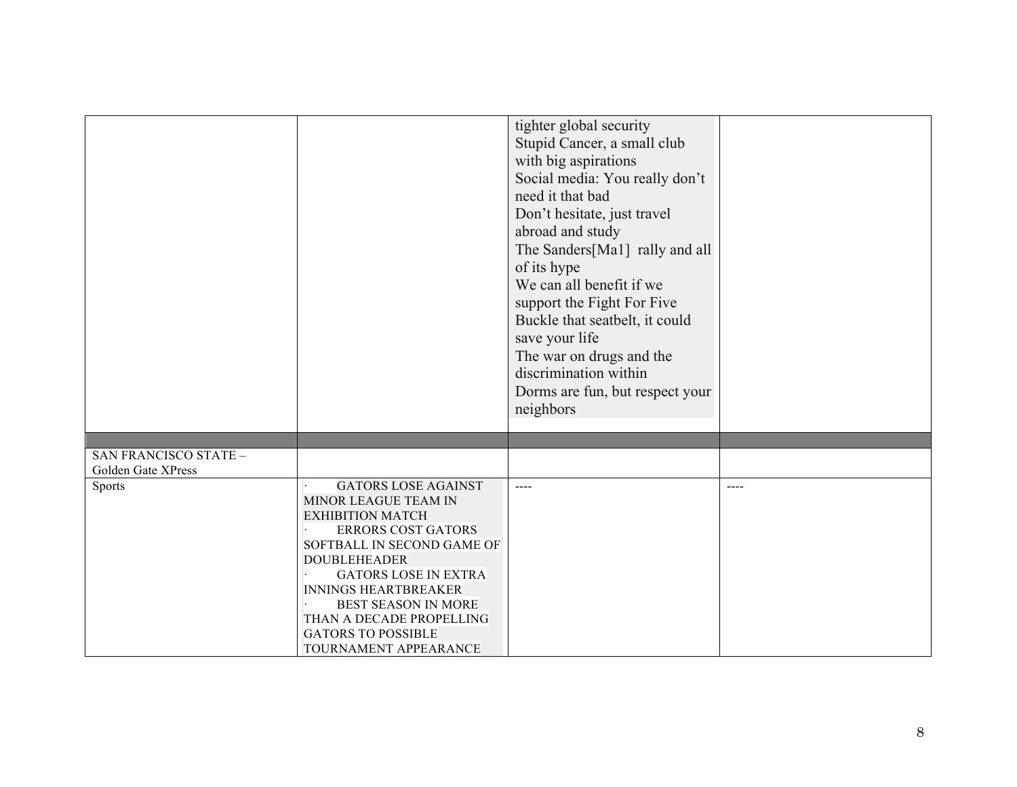|                                             |                                                                                                                                                                                                                                                                                                                                               | tighter global security<br>Stupid Cancer, a small club<br>with big aspirations<br>Social media: You really don't<br>need it that bad<br>Don't hesitate, just travel<br>abroad and study                          |               |
|---------------------------------------------|-----------------------------------------------------------------------------------------------------------------------------------------------------------------------------------------------------------------------------------------------------------------------------------------------------------------------------------------------|------------------------------------------------------------------------------------------------------------------------------------------------------------------------------------------------------------------|---------------|
|                                             |                                                                                                                                                                                                                                                                                                                                               | The Sanders[Ma1] rally and all<br>of its hype<br>We can all benefit if we<br>support the Fight For Five<br>Buckle that seatbelt, it could<br>save your life<br>The war on drugs and the<br>discrimination within |               |
|                                             |                                                                                                                                                                                                                                                                                                                                               | Dorms are fun, but respect your<br>neighbors                                                                                                                                                                     |               |
| SAN FRANCISCO STATE -<br>Golden Gate XPress |                                                                                                                                                                                                                                                                                                                                               |                                                                                                                                                                                                                  |               |
| Sports                                      | <b>GATORS LOSE AGAINST</b><br>MINOR LEAGUE TEAM IN<br><b>EXHIBITION MATCH</b><br><b>ERRORS COST GATORS</b><br>SOFTBALL IN SECOND GAME OF<br><b>DOUBLEHEADER</b><br><b>GATORS LOSE IN EXTRA</b><br><b>INNINGS HEARTBREAKER</b><br><b>BEST SEASON IN MORE</b><br>THAN A DECADE PROPELLING<br><b>GATORS TO POSSIBLE</b><br>TOURNAMENT APPEARANCE | $\frac{1}{2}$                                                                                                                                                                                                    | $\frac{1}{2}$ |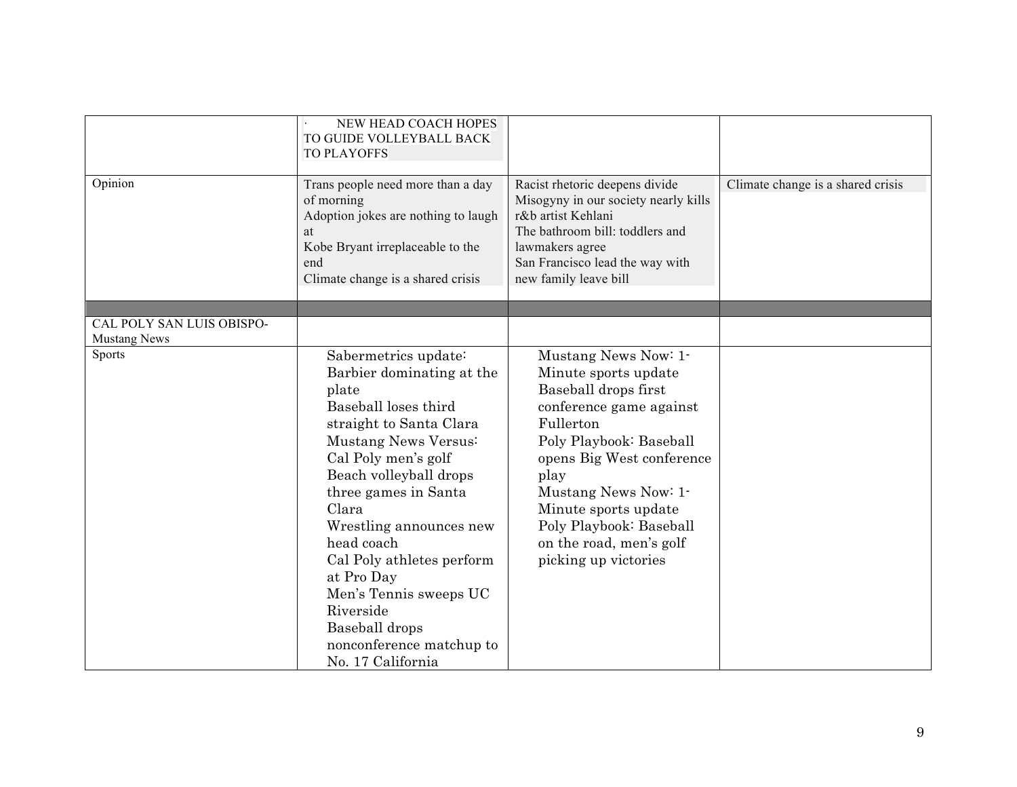|                                      | NEW HEAD COACH HOPES<br>TO GUIDE VOLLEYBALL BACK<br><b>TO PLAYOFFS</b>                                                                                                                                                                                                                                                                                                                                                |                                                                                                                                                                                                                                                                                                            |                                   |
|--------------------------------------|-----------------------------------------------------------------------------------------------------------------------------------------------------------------------------------------------------------------------------------------------------------------------------------------------------------------------------------------------------------------------------------------------------------------------|------------------------------------------------------------------------------------------------------------------------------------------------------------------------------------------------------------------------------------------------------------------------------------------------------------|-----------------------------------|
| Opinion                              | Trans people need more than a day<br>of morning<br>Adoption jokes are nothing to laugh<br>at<br>Kobe Bryant irreplaceable to the<br>end<br>Climate change is a shared crisis                                                                                                                                                                                                                                          | Racist rhetoric deepens divide<br>Misogyny in our society nearly kills<br>r&b artist Kehlani<br>The bathroom bill: toddlers and<br>lawmakers agree<br>San Francisco lead the way with<br>new family leave bill                                                                                             | Climate change is a shared crisis |
| CAL POLY SAN LUIS OBISPO-            |                                                                                                                                                                                                                                                                                                                                                                                                                       |                                                                                                                                                                                                                                                                                                            |                                   |
| <b>Mustang News</b><br><b>Sports</b> | Sabermetrics update:<br>Barbier dominating at the<br>plate<br>Baseball loses third<br>straight to Santa Clara<br>Mustang News Versus:<br>Cal Poly men's golf<br>Beach volleyball drops<br>three games in Santa<br>Clara<br>Wrestling announces new<br>head coach<br>Cal Poly athletes perform<br>at Pro Day<br>Men's Tennis sweeps UC<br>Riverside<br>Baseball drops<br>nonconference matchup to<br>No. 17 California | Mustang News Now: 1-<br>Minute sports update<br>Baseball drops first<br>conference game against<br>Fullerton<br>Poly Playbook: Baseball<br>opens Big West conference<br>play<br>Mustang News Now: 1-<br>Minute sports update<br>Poly Playbook: Baseball<br>on the road, men's golf<br>picking up victories |                                   |